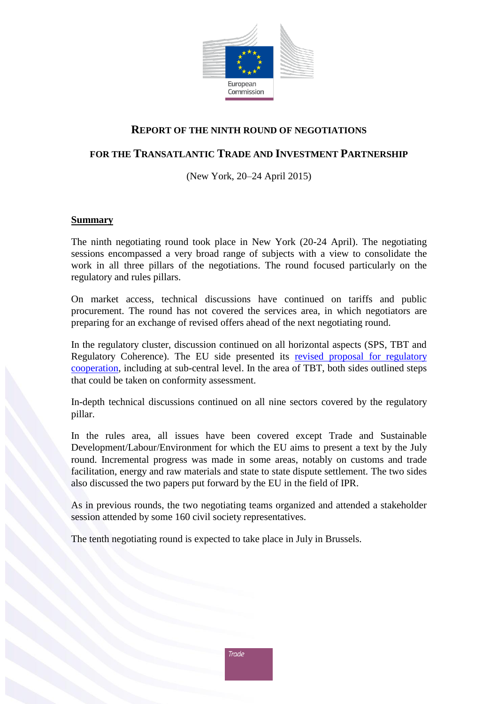

#### **REPORT OF THE NINTH ROUND OF NEGOTIATIONS**

### **FOR THE TRANSATLANTIC TRADE AND INVESTMENT PARTNERSHIP**

(New York, 20–24 April 2015)

#### **Summary**

The ninth negotiating round took place in New York (20-24 April). The negotiating sessions encompassed a very broad range of subjects with a view to consolidate the work in all three pillars of the negotiations. The round focused particularly on the regulatory and rules pillars.

On market access, technical discussions have continued on tariffs and public procurement. The round has not covered the services area, in which negotiators are preparing for an exchange of revised offers ahead of the next negotiating round.

In the regulatory cluster, discussion continued on all horizontal aspects (SPS, TBT and Regulatory Coherence). The EU side presented its [revised proposal for](http://trade.ec.europa.eu/doclib/press/index.cfm?id=1230#regulatory-cooperation) regulatory [cooperation,](http://trade.ec.europa.eu/doclib/press/index.cfm?id=1230#regulatory-cooperation) including at sub-central level. In the area of TBT, both sides outlined steps that could be taken on conformity assessment.

In-depth technical discussions continued on all nine sectors covered by the regulatory pillar.

In the rules area, all issues have been covered except Trade and Sustainable Development/Labour/Environment for which the EU aims to present a text by the July round. Incremental progress was made in some areas, notably on customs and trade facilitation, energy and raw materials and state to state dispute settlement. The two sides also discussed the two papers put forward by the EU in the field of IPR.

As in previous rounds, the two negotiating teams organized and attended a stakeholder session attended by some 160 civil society representatives.

The tenth negotiating round is expected to take place in July in Brussels.

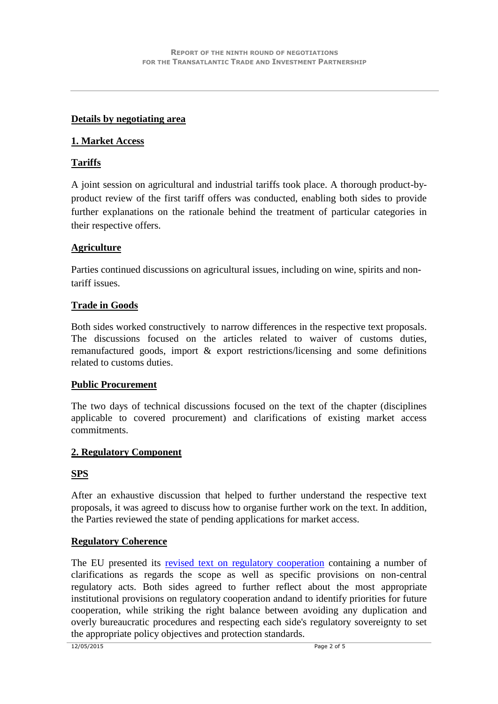#### **Details by negotiating area**

#### **1. Market Access**

#### **Tariffs**

A joint session on agricultural and industrial tariffs took place. A thorough product-byproduct review of the first tariff offers was conducted, enabling both sides to provide further explanations on the rationale behind the treatment of particular categories in their respective offers.

### **Agriculture**

Parties continued discussions on agricultural issues, including on wine, spirits and nontariff issues.

#### **Trade in Goods**

Both sides worked constructively to narrow differences in the respective text proposals. The discussions focused on the articles related to waiver of customs duties, remanufactured goods, import & export restrictions/licensing and some definitions related to customs duties.

#### **Public Procurement**

The two days of technical discussions focused on the text of the chapter (disciplines applicable to covered procurement) and clarifications of existing market access commitments.

#### **2. Regulatory Component**

### **SPS**

After an exhaustive discussion that helped to further understand the respective text proposals, it was agreed to discuss how to organise further work on the text. In addition, the Parties reviewed the state of pending applications for market access.

#### **Regulatory Coherence**

The EU presented its [revised text on regulatory cooperation](http://trade.ec.europa.eu/doclib/press/index.cfm?id=1230#regulatory-cooperation) containing a number of clarifications as regards the scope as well as specific provisions on non-central regulatory acts. Both sides agreed to further reflect about the most appropriate institutional provisions on regulatory cooperation andand to identify priorities for future cooperation, while striking the right balance between avoiding any duplication and overly bureaucratic procedures and respecting each side's regulatory sovereignty to set the appropriate policy objectives and protection standards.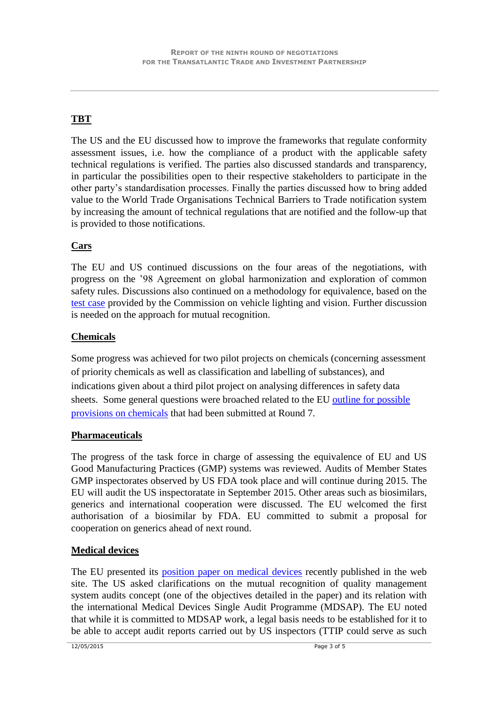# **TBT**

The US and the EU discussed how to improve the frameworks that regulate conformity assessment issues, i.e. how the compliance of a product with the applicable safety technical regulations is verified. The parties also discussed standards and transparency, in particular the possibilities open to their respective stakeholders to participate in the other party's standardisation processes. Finally the parties discussed how to bring added value to the World Trade Organisations Technical Barriers to Trade notification system by increasing the amount of technical regulations that are notified and the follow-up that is provided to those notifications.

### **Cars**

The EU and US continued discussions on the four areas of the negotiations, with progress on the '98 Agreement on global harmonization and exploration of common safety rules. Discussions also continued on a methodology for equivalence, based on the [test case](http://trade.ec.europa.eu/doclib/docs/2015/february/tradoc_153168.4.9%20Vehicles%20paper%20second%20test%20case.pdf) provided by the Commission on vehicle lighting and vision. Further discussion is needed on the approach for mutual recognition.

### **Chemicals**

Some progress was achieved for two pilot projects on chemicals (concerning assessment of priority chemicals as well as classification and labelling of substances), and indications given about a third pilot project on analysing differences in safety data sheets. Some general questions were broached related to the EU [outline for possible](http://trade.ec.europa.eu/doclib/docs/2014/november/tradoc_152912.pdf)  [provisions on chemicals](http://trade.ec.europa.eu/doclib/docs/2014/november/tradoc_152912.pdf) that had been submitted at Round 7.

### **Pharmaceuticals**

The progress of the task force in charge of assessing the equivalence of EU and US Good Manufacturing Practices (GMP) systems was reviewed. Audits of Member States GMP inspectorates observed by US FDA took place and will continue during 2015. The EU will audit the US inspectoratate in September 2015. Other areas such as biosimilars, generics and international cooperation were discussed. The EU welcomed the first authorisation of a biosimilar by FDA. EU committed to submit a proposal for cooperation on generics ahead of next round.

# **Medical devices**

The EU presented its [position paper on medical devices](http://trade.ec.europa.eu/doclib/docs/2015/april/tradoc_153349.4.5%20Med%20devices.pdf) recently published in the web site. The US asked clarifications on the mutual recognition of quality management system audits concept (one of the objectives detailed in the paper) and its relation with the international Medical Devices Single Audit Programme (MDSAP). The EU noted that while it is committed to MDSAP work, a legal basis needs to be established for it to be able to accept audit reports carried out by US inspectors (TTIP could serve as such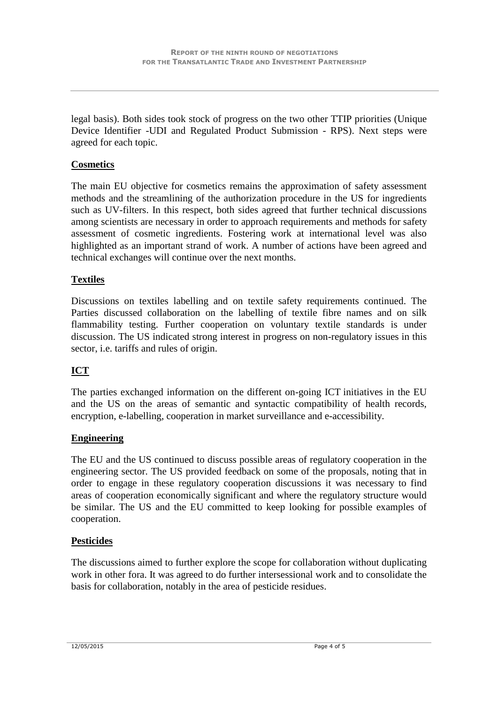legal basis). Both sides took stock of progress on the two other TTIP priorities (Unique Device Identifier -UDI and Regulated Product Submission - RPS). Next steps were agreed for each topic.

### **Cosmetics**

The main EU objective for cosmetics remains the approximation of safety assessment methods and the streamlining of the authorization procedure in the US for ingredients such as UV-filters. In this respect, both sides agreed that further technical discussions among scientists are necessary in order to approach requirements and methods for safety assessment of cosmetic ingredients. Fostering work at international level was also highlighted as an important strand of work. A number of actions have been agreed and technical exchanges will continue over the next months.

### **Textiles**

Discussions on textiles labelling and on textile safety requirements continued. The Parties discussed collaboration on the labelling of textile fibre names and on silk flammability testing. Further cooperation on voluntary textile standards is under discussion. The US indicated strong interest in progress on non-regulatory issues in this sector, i.e. tariffs and rules of origin.

# **ICT**

The parties exchanged information on the different on-going ICT initiatives in the EU and the US on the areas of semantic and syntactic compatibility of health records, encryption, e-labelling, cooperation in market surveillance and e-accessibility.

### **Engineering**

The EU and the US continued to discuss possible areas of regulatory cooperation in the engineering sector. The US provided feedback on some of the proposals, noting that in order to engage in these regulatory cooperation discussions it was necessary to find areas of cooperation economically significant and where the regulatory structure would be similar. The US and the EU committed to keep looking for possible examples of cooperation.

### **Pesticides**

The discussions aimed to further explore the scope for collaboration without duplicating work in other fora. It was agreed to do further intersessional work and to consolidate the basis for collaboration, notably in the area of pesticide residues.